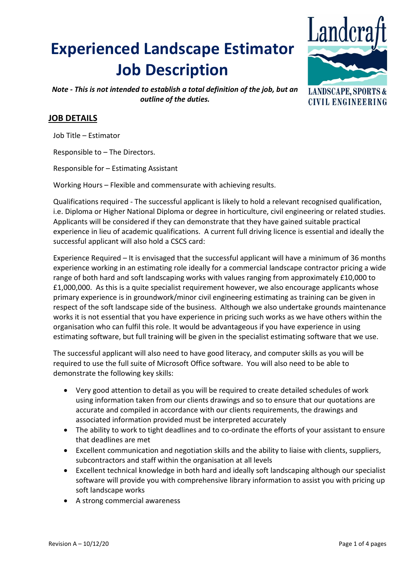# **Experienced Landscape Estimator Job Description**



*Note - This is not intended to establish a total definition of the job, but an outline of the duties.*

## **LANDSCAPE, SPORTS & CIVIL ENGINEERING**

## **JOB DETAILS**

Job Title – Estimator

Responsible to – The Directors.

Responsible for – Estimating Assistant

Working Hours – Flexible and commensurate with achieving results.

Qualifications required - The successful applicant is likely to hold a relevant recognised qualification, i.e. Diploma or Higher National Diploma or degree in horticulture, civil engineering or related studies. Applicants will be considered if they can demonstrate that they have gained suitable practical experience in lieu of academic qualifications. A current full driving licence is essential and ideally the successful applicant will also hold a CSCS card:

Experience Required – It is envisaged that the successful applicant will have a minimum of 36 months experience working in an estimating role ideally for a commercial landscape contractor pricing a wide range of both hard and soft landscaping works with values ranging from approximately £10,000 to £1,000,000. As this is a quite specialist requirement however, we also encourage applicants whose primary experience is in groundwork/minor civil engineering estimating as training can be given in respect of the soft landscape side of the business. Although we also undertake grounds maintenance works it is not essential that you have experience in pricing such works as we have others within the organisation who can fulfil this role. It would be advantageous if you have experience in using estimating software, but full training will be given in the specialist estimating software that we use.

The successful applicant will also need to have good literacy, and computer skills as you will be required to use the full suite of Microsoft Office software. You will also need to be able to demonstrate the following key skills:

- Very good attention to detail as you will be required to create detailed schedules of work using information taken from our clients drawings and so to ensure that our quotations are accurate and compiled in accordance with our clients requirements, the drawings and associated information provided must be interpreted accurately
- The ability to work to tight deadlines and to co-ordinate the efforts of your assistant to ensure that deadlines are met
- Excellent communication and negotiation skills and the ability to liaise with clients, suppliers, subcontractors and staff within the organisation at all levels
- Excellent technical knowledge in both hard and ideally soft landscaping although our specialist software will provide you with comprehensive library information to assist you with pricing up soft landscape works
- A strong commercial awareness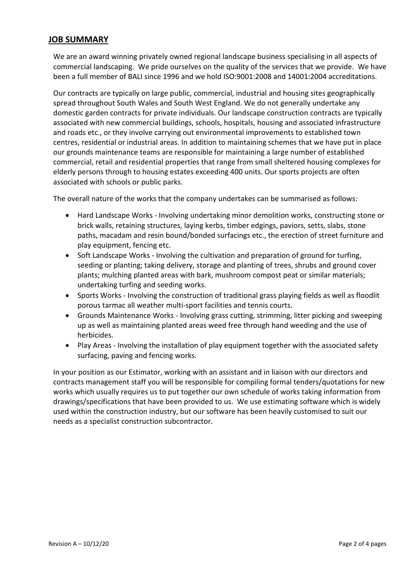### **JOB SUMMARY**

We are an award winning privately owned regional landscape business specialising in all aspects of commercial landscaping. We pride ourselves on the quality of the services that we provide. We have been a full member of BALI since 1996 and we hold ISO:9001:2008 and 14001:2004 accreditations.

Our contracts are typically on large public, commercial, industrial and housing sites geographically spread throughout South Wales and South West England. We do not generally undertake any domestic garden contracts for private individuals. Our landscape construction contracts are typically associated with new commercial buildings, schools, hospitals, housing and associated infrastructure and roads etc., or they involve carrying out environmental improvements to established town centres, residential or industrial areas. In addition to maintaining schemes that we have put in place our grounds maintenance teams are responsible for maintaining a large number of established commercial, retail and residential properties that range from small sheltered housing complexes for elderly persons through to housing estates exceeding 400 units. Our sports projects are often associated with schools or public parks.

The overall nature of the works that the company undertakes can be summarised as follows:

- Hard Landscape Works Involving undertaking minor demolition works, constructing stone or brick walls, retaining structures, laying kerbs, timber edgings, paviors, setts, slabs, stone paths, macadam and resin bound/bonded surfacings etc., the erection of street furniture and play equipment, fencing etc.
- Soft Landscape Works Involving the cultivation and preparation of ground for turfing, seeding or planting; taking delivery, storage and planting of trees, shrubs and ground cover plants; mulching planted areas with bark, mushroom compost peat or similar materials; undertaking turfing and seeding works.
- Sports Works Involving the construction of traditional grass playing fields as well as floodlit porous tarmac all weather multi-sport facilities and tennis courts.
- Grounds Maintenance Works Involving grass cutting, strimming, litter picking and sweeping up as well as maintaining planted areas weed free through hand weeding and the use of herbicides.
- Play Areas Involving the installation of play equipment together with the associated safety surfacing, paving and fencing works.

In your position as our Estimator, working with an assistant and in liaison with our directors and contracts management staff you will be responsible for compiling formal tenders/quotations for new works which usually requires us to put together our own schedule of works taking information from drawings/specifications that have been provided to us. We use estimating software which is widely used within the construction industry, but our software has been heavily customised to suit our needs as a specialist construction subcontractor.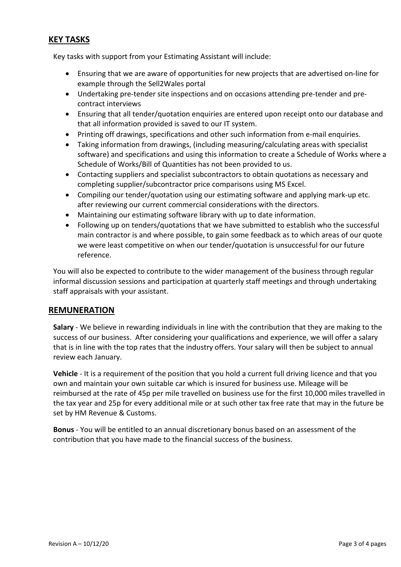## **KEY TASKS**

Key tasks with support from your Estimating Assistant will include:

- Ensuring that we are aware of opportunities for new projects that are advertised on-line for example through the Sell2Wales portal
- Undertaking pre-tender site inspections and on occasions attending pre-tender and precontract interviews
- Ensuring that all tender/quotation enquiries are entered upon receipt onto our database and that all information provided is saved to our IT system.
- Printing off drawings, specifications and other such information from e-mail enquiries.
- Taking information from drawings, (including measuring/calculating areas with specialist software) and specifications and using this information to create a Schedule of Works where a Schedule of Works/Bill of Quantities has not been provided to us.
- Contacting suppliers and specialist subcontractors to obtain quotations as necessary and completing supplier/subcontractor price comparisons using MS Excel.
- Compiling our tender/quotation using our estimating software and applying mark-up etc. after reviewing our current commercial considerations with the directors.
- Maintaining our estimating software library with up to date information.
- Following up on tenders/quotations that we have submitted to establish who the successful main contractor is and where possible, to gain some feedback as to which areas of our quote we were least competitive on when our tender/quotation is unsuccessful for our future reference.

You will also be expected to contribute to the wider management of the business through regular informal discussion sessions and participation at quarterly staff meetings and through undertaking staff appraisals with your assistant.

#### **REMUNERATION**

**Salary** - We believe in rewarding individuals in line with the contribution that they are making to the success of our business. After considering your qualifications and experience, we will offer a salary that is in line with the top rates that the industry offers. Your salary will then be subject to annual review each January.

**Vehicle** - It is a requirement of the position that you hold a current full driving licence and that you own and maintain your own suitable car which is insured for business use. Mileage will be reimbursed at the rate of 45p per mile travelled on business use for the first 10,000 miles travelled in the tax year and 25p for every additional mile or at such other tax free rate that may in the future be set by HM Revenue & Customs.

**Bonus** - You will be entitled to an annual discretionary bonus based on an assessment of the contribution that you have made to the financial success of the business.